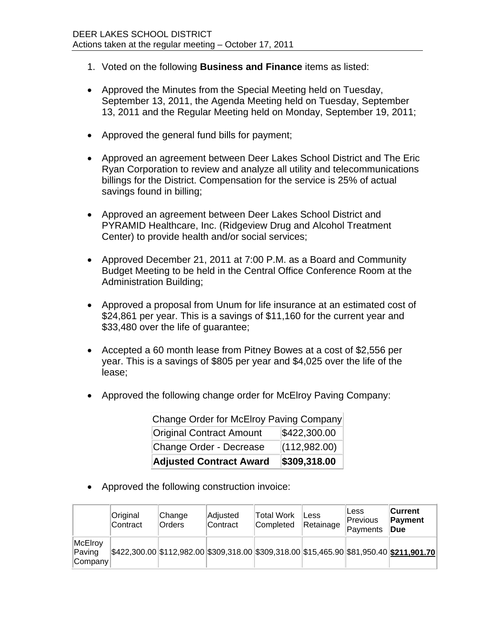- 1. Voted on the following **Business and Finance** items as listed:
- Approved the Minutes from the Special Meeting held on Tuesday, September 13, 2011, the Agenda Meeting held on Tuesday, September 13, 2011 and the Regular Meeting held on Monday, September 19, 2011;
- Approved the general fund bills for payment;
- Approved an agreement between Deer Lakes School District and The Eric Ryan Corporation to review and analyze all utility and telecommunications billings for the District. Compensation for the service is 25% of actual savings found in billing;
- Approved an agreement between Deer Lakes School District and PYRAMID Healthcare, Inc. (Ridgeview Drug and Alcohol Treatment Center) to provide health and/or social services;
- Approved December 21, 2011 at 7:00 P.M. as a Board and Community Budget Meeting to be held in the Central Office Conference Room at the Administration Building;
- Approved a proposal from Unum for life insurance at an estimated cost of \$24,861 per year. This is a savings of \$11,160 for the current year and \$33,480 over the life of guarantee;
- Accepted a 60 month lease from Pitney Bowes at a cost of \$2,556 per year. This is a savings of \$805 per year and \$4,025 over the life of the lease;
- Approved the following change order for McElroy Paving Company:

| <b>Adjusted Contract Award</b>          | \$309,318.00 |  |  |  |
|-----------------------------------------|--------------|--|--|--|
| Change Order - Decrease                 | (112,982.00) |  |  |  |
| <b>Original Contract Amount</b>         | \$422,300.00 |  |  |  |
| Change Order for McElroy Paving Company |              |  |  |  |

Approved the following construction invoice:

|                                  | Original<br><b>Contract</b> | Change<br><b>Orders</b> | Adjusted<br><b>Contract</b>                                                              | Total Work<br>Completed | <b>Less</b><br>Retainage | Less<br>Previous<br>Payments | ∣Current<br>Payment<br>Due |
|----------------------------------|-----------------------------|-------------------------|------------------------------------------------------------------------------------------|-------------------------|--------------------------|------------------------------|----------------------------|
| McElroy<br>Paving<br>$ $ Company |                             |                         | \$422,300.00 \$112,982.00 \$309,318.00 \$309,318.00 \$15,465.90 \$81,950.40 \$211,901.70 |                         |                          |                              |                            |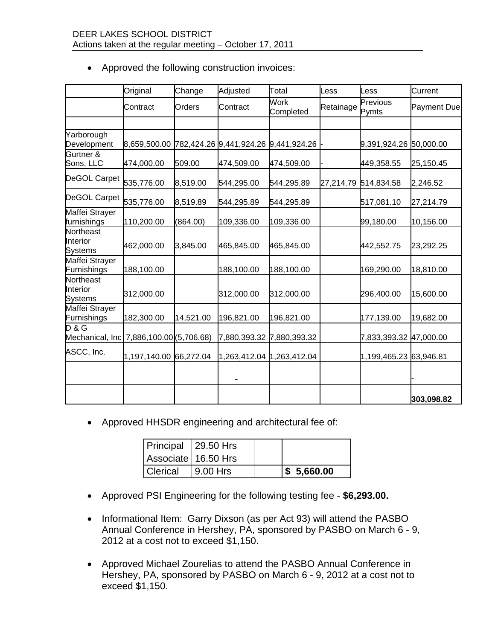|                                                  | Original               | Change    | Adjusted   | Total                                | .ess      | <b>ess</b>             | Current     |
|--------------------------------------------------|------------------------|-----------|------------|--------------------------------------|-----------|------------------------|-------------|
|                                                  | Contract               | Orders    | Contract   | Work<br>Completed                    | Retainage | Previous<br>Pymts      | Payment Due |
|                                                  |                        |           |            |                                      |           |                        |             |
| Yarborough<br>Development                        | 8,659,500.00           |           |            | 782,424.26 9,441,924.26 9,441,924.26 |           | 9,391,924.26 50,000.00 |             |
| Gurtner &<br>Sons, LLC                           | 474,000.00             | 509.00    | 474,509.00 | 474,509.00                           |           | 449,358.55             | 25,150.45   |
| DeGOL Carpet                                     | 535,776.00             | 8,519.00  | 544,295.00 | 544,295.89                           |           | 27,214.79 514,834.58   | 2,246.52    |
| DeGOL Carpet                                     | 535,776.00             | 8,519.89  | 544,295.89 | 544,295.89                           |           | 517,081.10             | 27,214.79   |
| Maffei Strayer<br>furnishings                    | 110,200.00             | (864.00)  | 109,336.00 | 109,336.00                           |           | 99,180.00              | 10,156.00   |
| Northeast<br>Interior<br><b>Systems</b>          | 462,000.00             | 3,845.00  | 465,845.00 | 465,845.00                           |           | 442,552.75             | 23,292.25   |
| Maffei Strayer<br>Furnishings                    | 188,100.00             |           | 188,100.00 | 188,100.00                           |           | 169,290.00             | 18,810.00   |
| Northeast<br>Interior<br><b>Systems</b>          | 312,000.00             |           | 312,000.00 | 312,000.00                           |           | 296,400.00             | 15,600.00   |
| Maffei Strayer<br>Furnishings                    | 182,300.00             | 14,521.00 | 196,821.00 | 196,821.00                           |           | 177,139.00             | 19,682.00   |
| D & G<br>Mechanical, Inc 7,886,100.00 (5,706.68) |                        |           |            | 7,880,393.32 7,880,393.32            |           | 7,833,393.32 47,000.00 |             |
| ASCC, Inc.                                       | 1,197,140.00 66,272.04 |           |            | 1,263,412.04 1,263,412.04            |           | 1,199,465.23 63,946.81 |             |
|                                                  |                        |           |            |                                      |           |                        |             |
|                                                  |                        |           |            |                                      |           |                        | 303,098.82  |

Approved the following construction invoices:

Approved HHSDR engineering and architectural fee of:

| Principal 29.50 Hrs |             |                        |
|---------------------|-------------|------------------------|
| Associate 16.50 Hrs |             |                        |
| <b>Clerical</b>     | $19.00$ Hrs | $\frac{1}{5}$ 5,660.00 |

- Approved PSI Engineering for the following testing fee **\$6,293.00.**
- Informational Item: Garry Dixson (as per Act 93) will attend the PASBO Annual Conference in Hershey, PA, sponsored by PASBO on March 6 - 9, 2012 at a cost not to exceed \$1,150.
- Approved Michael Zourelias to attend the PASBO Annual Conference in Hershey, PA, sponsored by PASBO on March 6 - 9, 2012 at a cost not to exceed \$1,150.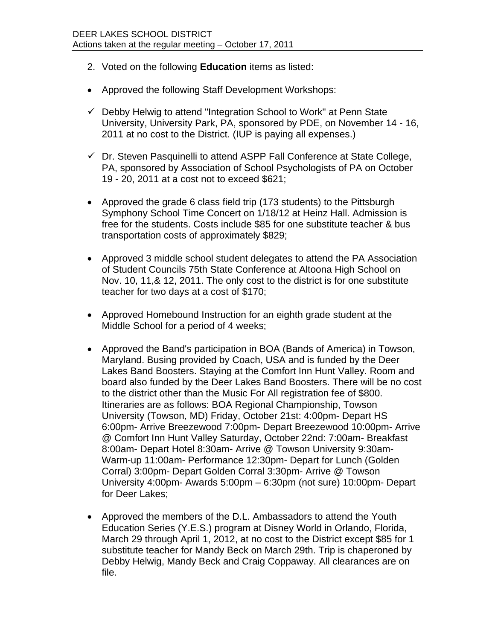- 2. Voted on the following **Education** items as listed:
- Approved the following Staff Development Workshops:
- $\checkmark$  Debby Helwig to attend "Integration School to Work" at Penn State University, University Park, PA, sponsored by PDE, on November 14 - 16, 2011 at no cost to the District. (IUP is paying all expenses.)
- $\checkmark$  Dr. Steven Pasquinelli to attend ASPP Fall Conference at State College, PA, sponsored by Association of School Psychologists of PA on October 19 - 20, 2011 at a cost not to exceed \$621;
- Approved the grade 6 class field trip (173 students) to the Pittsburgh Symphony School Time Concert on 1/18/12 at Heinz Hall. Admission is free for the students. Costs include \$85 for one substitute teacher & bus transportation costs of approximately \$829;
- Approved 3 middle school student delegates to attend the PA Association of Student Councils 75th State Conference at Altoona High School on Nov. 10, 11,& 12, 2011. The only cost to the district is for one substitute teacher for two days at a cost of \$170;
- Approved Homebound Instruction for an eighth grade student at the Middle School for a period of 4 weeks;
- Approved the Band's participation in BOA (Bands of America) in Towson, Maryland. Busing provided by Coach, USA and is funded by the Deer Lakes Band Boosters. Staying at the Comfort Inn Hunt Valley. Room and board also funded by the Deer Lakes Band Boosters. There will be no cost to the district other than the Music For All registration fee of \$800. Itineraries are as follows: BOA Regional Championship, Towson University (Towson, MD) Friday, October 21st: 4:00pm- Depart HS 6:00pm- Arrive Breezewood 7:00pm- Depart Breezewood 10:00pm- Arrive @ Comfort Inn Hunt Valley Saturday, October 22nd: 7:00am- Breakfast 8:00am- Depart Hotel 8:30am- Arrive @ Towson University 9:30am-Warm-up 11:00am- Performance 12:30pm- Depart for Lunch (Golden Corral) 3:00pm- Depart Golden Corral 3:30pm- Arrive @ Towson University 4:00pm- Awards 5:00pm – 6:30pm (not sure) 10:00pm- Depart for Deer Lakes;
- Approved the members of the D.L. Ambassadors to attend the Youth Education Series (Y.E.S.) program at Disney World in Orlando, Florida, March 29 through April 1, 2012, at no cost to the District except \$85 for 1 substitute teacher for Mandy Beck on March 29th. Trip is chaperoned by Debby Helwig, Mandy Beck and Craig Coppaway. All clearances are on file.